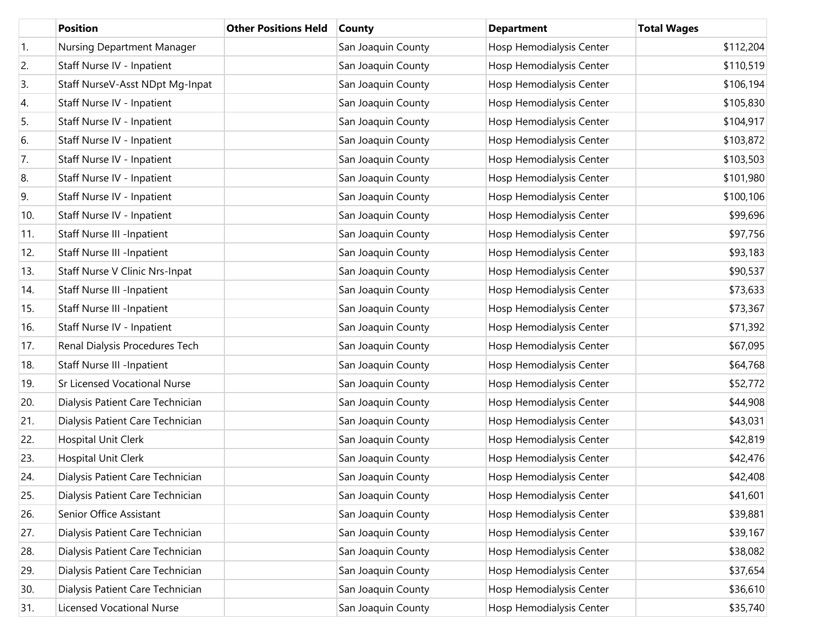|     | <b>Position</b>                       | <b>Other Positions Held</b> | <b>County</b>      | <b>Department</b>        | <b>Total Wages</b> |
|-----|---------------------------------------|-----------------------------|--------------------|--------------------------|--------------------|
| 1.  | Nursing Department Manager            |                             | San Joaquin County | Hosp Hemodialysis Center | \$112,204          |
| 2.  | Staff Nurse IV - Inpatient            |                             | San Joaquin County | Hosp Hemodialysis Center | \$110,519          |
| 3.  | Staff NurseV-Asst NDpt Mg-Inpat       |                             | San Joaquin County | Hosp Hemodialysis Center | \$106,194          |
| 4.  | Staff Nurse IV - Inpatient            |                             | San Joaquin County | Hosp Hemodialysis Center | \$105,830          |
| 5.  | Staff Nurse IV - Inpatient            |                             | San Joaquin County | Hosp Hemodialysis Center | \$104,917          |
| 6.  | Staff Nurse IV - Inpatient            |                             | San Joaquin County | Hosp Hemodialysis Center | \$103,872          |
| 7.  | Staff Nurse IV - Inpatient            |                             | San Joaquin County | Hosp Hemodialysis Center | \$103,503          |
| 8.  | Staff Nurse IV - Inpatient            |                             | San Joaquin County | Hosp Hemodialysis Center | \$101,980          |
| 9.  | Staff Nurse IV - Inpatient            |                             | San Joaquin County | Hosp Hemodialysis Center | \$100,106          |
| 10. | Staff Nurse IV - Inpatient            |                             | San Joaquin County | Hosp Hemodialysis Center | \$99,696           |
| 11. | <b>Staff Nurse III -Inpatient</b>     |                             | San Joaquin County | Hosp Hemodialysis Center | \$97,756           |
| 12. | <b>Staff Nurse III -Inpatient</b>     |                             | San Joaquin County | Hosp Hemodialysis Center | \$93,183           |
| 13. | <b>Staff Nurse V Clinic Nrs-Inpat</b> |                             | San Joaquin County | Hosp Hemodialysis Center | \$90,537           |
| 14. | <b>Staff Nurse III -Inpatient</b>     |                             | San Joaquin County | Hosp Hemodialysis Center | \$73,633           |
| 15. | <b>Staff Nurse III -Inpatient</b>     |                             | San Joaquin County | Hosp Hemodialysis Center | \$73,367           |
| 16. | Staff Nurse IV - Inpatient            |                             | San Joaquin County | Hosp Hemodialysis Center | \$71,392           |
| 17. | Renal Dialysis Procedures Tech        |                             | San Joaquin County | Hosp Hemodialysis Center | \$67,095           |
| 18. | <b>Staff Nurse III -Inpatient</b>     |                             | San Joaquin County | Hosp Hemodialysis Center | \$64,768           |
| 19. | Sr Licensed Vocational Nurse          |                             | San Joaquin County | Hosp Hemodialysis Center | \$52,772           |
| 20. | Dialysis Patient Care Technician      |                             | San Joaquin County | Hosp Hemodialysis Center | \$44,908           |
| 21. | Dialysis Patient Care Technician      |                             | San Joaquin County | Hosp Hemodialysis Center | \$43,031           |
| 22. | Hospital Unit Clerk                   |                             | San Joaquin County | Hosp Hemodialysis Center | \$42,819           |
| 23. | Hospital Unit Clerk                   |                             | San Joaquin County | Hosp Hemodialysis Center | \$42,476           |
| 24. | Dialysis Patient Care Technician      |                             | San Joaquin County | Hosp Hemodialysis Center | \$42,408           |
| 25. | Dialysis Patient Care Technician      |                             | San Joaquin County | Hosp Hemodialysis Center | \$41,601           |
| 26. | Senior Office Assistant               |                             | San Joaquin County | Hosp Hemodialysis Center | \$39,881           |
| 27. | Dialysis Patient Care Technician      |                             | San Joaquin County | Hosp Hemodialysis Center | \$39,167           |
| 28. | Dialysis Patient Care Technician      |                             | San Joaquin County | Hosp Hemodialysis Center | \$38,082           |
| 29. | Dialysis Patient Care Technician      |                             | San Joaquin County | Hosp Hemodialysis Center | \$37,654           |
| 30. | Dialysis Patient Care Technician      |                             | San Joaquin County | Hosp Hemodialysis Center | \$36,610           |
| 31. | <b>Licensed Vocational Nurse</b>      |                             | San Joaquin County | Hosp Hemodialysis Center | \$35,740           |